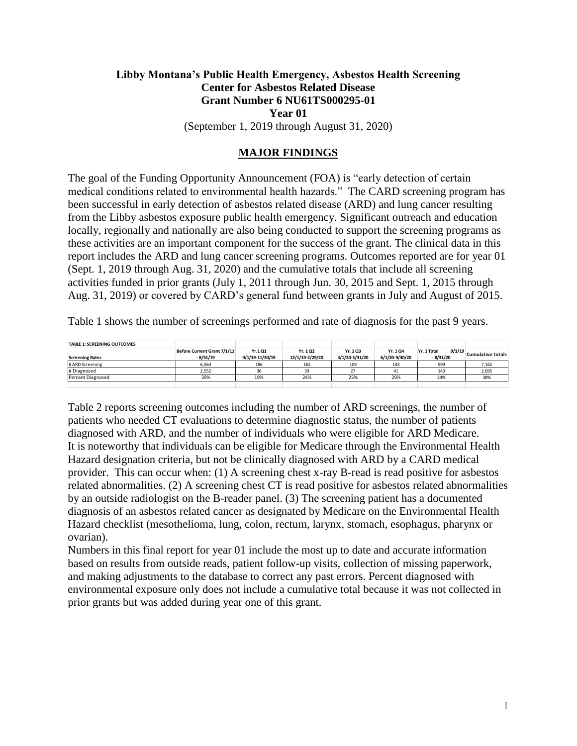### **Libby Montana's Public Health Emergency, Asbestos Health Screening Center for Asbestos Related Disease Grant Number 6 NU61TS000295-01 Year 01** (September 1, 2019 through August 31, 2020)

### **MAJOR FINDINGS**

The goal of the Funding Opportunity Announcement (FOA) is "early detection of certain medical conditions related to environmental health hazards." The CARD screening program has been successful in early detection of asbestos related disease (ARD) and lung cancer resulting from the Libby asbestos exposure public health emergency. Significant outreach and education locally, regionally and nationally are also being conducted to support the screening programs as these activities are an important component for the success of the grant. The clinical data in this report includes the ARD and lung cancer screening programs. Outcomes reported are for year 01 (Sept. 1, 2019 through Aug. 31, 2020) and the cumulative totals that include all screening activities funded in prior grants (July 1, 2011 through Jun. 30, 2015 and Sept. 1, 2015 through Aug. 31, 2019) or covered by CARD's general fund between grants in July and August of 2015.

Table 1 shows the number of screenings performed and rate of diagnosis for the past 9 years.

| <b>TABLE 1: SCREENING OUTCOMES</b> |                             |                 |                 |                |                |                       |                   |
|------------------------------------|-----------------------------|-----------------|-----------------|----------------|----------------|-----------------------|-------------------|
|                                    | Before Current Grant 7/1/11 | Yr.101          | Yr. 102         | Yr. 1 Q3       | Yr. 104        | 9/1/19<br>Yr. 1 Total | Cumulative totals |
| <b>Screening Rates</b>             | $-8/31/19$                  | 9/1/19-11/30/19 | 12/1/19-2/29/20 | 3/1/20-5/31/20 | 6/1/20-9/30/20 | - 8/31/20             |                   |
| # ARD Screening                    | 6,563                       | 186             | 161             | 109            | 143            | 599                   | 7,162             |
| # Diagnosed                        | 2,552                       | 36              | 39              | 27             |                | 143                   | 2,695             |
| Percent Diagnosed                  | 39%                         | 19%             | 24%             | 25%            | 29%            | 24%                   | 38%               |
|                                    |                             |                 |                 |                |                |                       |                   |

Table 2 reports screening outcomes including the number of ARD screenings, the number of patients who needed CT evaluations to determine diagnostic status, the number of patients diagnosed with ARD, and the number of individuals who were eligible for ARD Medicare. It is noteworthy that individuals can be eligible for Medicare through the Environmental Health Hazard designation criteria, but not be clinically diagnosed with ARD by a CARD medical provider. This can occur when: (1) A screening chest x-ray B-read is read positive for asbestos related abnormalities. (2) A screening chest CT is read positive for asbestos related abnormalities by an outside radiologist on the B-reader panel. (3) The screening patient has a documented diagnosis of an asbestos related cancer as designated by Medicare on the Environmental Health Hazard checklist (mesothelioma, lung, colon, rectum, larynx, stomach, esophagus, pharynx or ovarian).

Numbers in this final report for year 01 include the most up to date and accurate information based on results from outside reads, patient follow-up visits, collection of missing paperwork, and making adjustments to the database to correct any past errors. Percent diagnosed with environmental exposure only does not include a cumulative total because it was not collected in prior grants but was added during year one of this grant.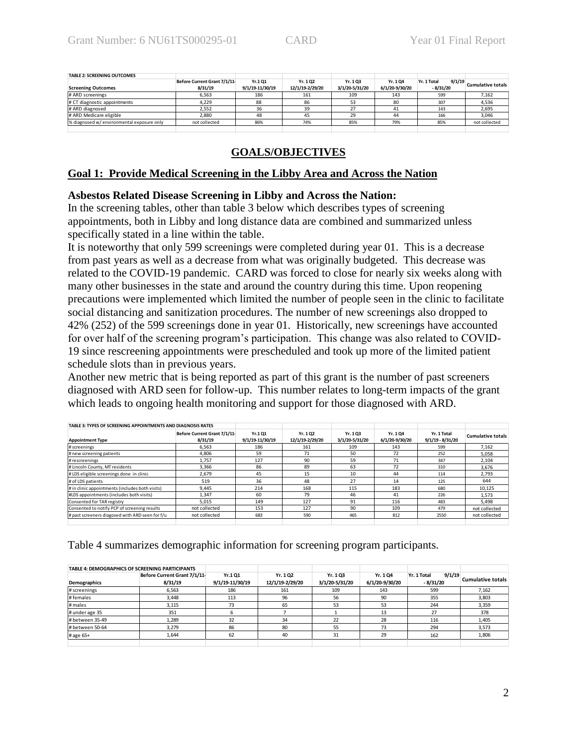| <b>TABLE 2: SCREENING OUTCOMES</b>         |                              |                 |                 |                |                |                       |                          |
|--------------------------------------------|------------------------------|-----------------|-----------------|----------------|----------------|-----------------------|--------------------------|
|                                            | Before Current Grant 7/1/11- | Yr.101          | Yr. 102         | Yr. 103        | Yr. 104        | 9/1/19<br>Yr. 1 Total | <b>Cumulative totals</b> |
| <b>Screening Outcomes</b>                  | 8/31/19                      | 9/1/19-11/30/19 | 12/1/19-2/29/20 | 3/1/20-5/31/20 | 6/1/20-9/30/20 | - 8/31/20             |                          |
| # ARD screenings                           | 6.563                        | 186             | 161             | 109            | 143            | 599                   | 7.162                    |
| # CT diagnostic appointments               | 4.229                        | 88              | 86              | 53             | 80             | 307                   | 4,536                    |
| # ARD diagnosed                            | 2.552                        | 36              | 39              | 27             |                | 143                   | 2,695                    |
| # ARD Medicare eligible                    | 2.880                        | 48              | 45              | 29             | 44             | 166                   | 3,046                    |
| % diagnosed w/ environmental exposure only | not collected                | 86%             | 74%             | 85%            | 79%            | 85%                   | not collected            |
|                                            |                              |                 |                 |                |                |                       |                          |

### **GOALS/OBJECTIVES**

### **Goal 1: Provide Medical Screening in the Libby Area and Across the Nation**

### **Asbestos Related Disease Screening in Libby and Across the Nation:**

In the screening tables, other than table 3 below which describes types of screening appointments, both in Libby and long distance data are combined and summarized unless specifically stated in a line within the table.

It is noteworthy that only 599 screenings were completed during year 01. This is a decrease from past years as well as a decrease from what was originally budgeted. This decrease was related to the COVID-19 pandemic. CARD was forced to close for nearly six weeks along with many other businesses in the state and around the country during this time. Upon reopening precautions were implemented which limited the number of people seen in the clinic to facilitate social distancing and sanitization procedures. The number of new screenings also dropped to 42% (252) of the 599 screenings done in year 01. Historically, new screenings have accounted for over half of the screening program's participation. This change was also related to COVID-19 since rescreening appointments were prescheduled and took up more of the limited patient schedule slots than in previous years.

Another new metric that is being reported as part of this grant is the number of past screeners diagnosed with ARD seen for follow-up. This number relates to long-term impacts of the grant which leads to ongoing health monitoring and support for those diagnosed with ARD.

| TABLE 3: TYPES OF SCREENING APPOINTMENTS AND DIAGNOSIS RATES |                                         |                           |                            |                           |                           |                                   |                          |
|--------------------------------------------------------------|-----------------------------------------|---------------------------|----------------------------|---------------------------|---------------------------|-----------------------------------|--------------------------|
| <b>Appointment Type</b>                                      | Before Current Grant 7/1/11-<br>8/31/19 | Yr.101<br>9/1/19-11/30/19 | Yr. 102<br>12/1/19-2/29/20 | Yr. 103<br>3/1/20-5/31/20 | Yr. 104<br>6/1/20-9/30/20 | Yr. 1 Total<br>$9/1/19 - 8/31/20$ | <b>Cumulative totals</b> |
| # screenings                                                 | 6.563                                   | 186                       | 161                        | 109                       | 143                       | 599                               | 7.162                    |
| # new screening patients                                     | 4.806                                   | 59                        | 71                         | 50                        | 72                        | 252                               | 5.058                    |
| # rescreenings                                               | 1.757                                   | 127                       | 90                         | 59                        | 71                        | 347                               | 2.104                    |
| # Lincoln County, MT residents                               | 3,366                                   | 86                        | 89                         | 63                        | 72                        | 310                               | 3.676                    |
| #LDS eligible screenings done in clinic                      | 2.679                                   | 45                        | 15                         | 10                        | 44                        | 114                               | 2.793                    |
| # of LDS patients                                            | 519                                     | 36                        | 48                         | 27                        | 14                        | 125                               | 644                      |
| # in clinic appointments (includes both visits)              | 9.445                                   | 214                       | 168                        | 115                       | 183                       | 680                               | 10,125                   |
| #LDS appointments (includes both visits)                     | 1,347                                   | 60                        | 79                         | 46                        | 41                        | 226                               | 1.573                    |
| Consented for TAR registry                                   | 5.015                                   | 149                       | 127                        | 91                        | 116                       | 483                               | 5.498                    |
| Consented to notify PCP of screening results                 | not collected                           | 153                       | 127                        | 90                        | 109                       | 479                               | not collected            |
| # past screeners diagosed with ARD seen for f/u              | not collected                           | 683                       | 590                        | 465                       | 812                       | 2550                              | not collected            |
|                                                              |                                         |                           |                            |                           |                           |                                   |                          |

Table 4 summarizes demographic information for screening program participants.

|                 | <b>TABLE 4: DEMOGRAPHICS OF SCREENING PARTICIPANTS</b> |                 |                 |                |                |                       |                          |
|-----------------|--------------------------------------------------------|-----------------|-----------------|----------------|----------------|-----------------------|--------------------------|
|                 | Before Current Grant 7/1/11-                           | Yr.101          | Yr. 1 Q2        | Yr. 103        | Yr. 104        | 9/1/19<br>Yr. 1 Total | <b>Cumulative totals</b> |
| Demographics    | 8/31/19                                                | 9/1/19-11/30/19 | 12/1/19-2/29/20 | 3/1/20-5/31/20 | 6/1/20-9/30/20 | $-8/31/20$            |                          |
| # screenings    | 6,563                                                  | 186             | 161             | 109            | 143            | 599                   | 7,162                    |
| #females        | 3,448                                                  | 113             | 96              | 56             | 90             | 355                   | 3,803                    |
| # males         | 3.115                                                  | 73              | 65              | 53             | 53             | 244                   | 3,359                    |
| # under age 35  | 351                                                    |                 |                 |                | 13             | 27                    | 378                      |
| # between 35-49 | 1.289                                                  | 32              | 34              | 22             | 28             | 116                   | 1,405                    |
| #between 50-64  | 3.279                                                  | 86              | 80              | 55             | 73             | 294                   | 3.573                    |
| # age 65+       | 1.644                                                  | 62              | 40              | 31             | 29             | 162                   | 1,806                    |
|                 |                                                        |                 |                 |                |                |                       |                          |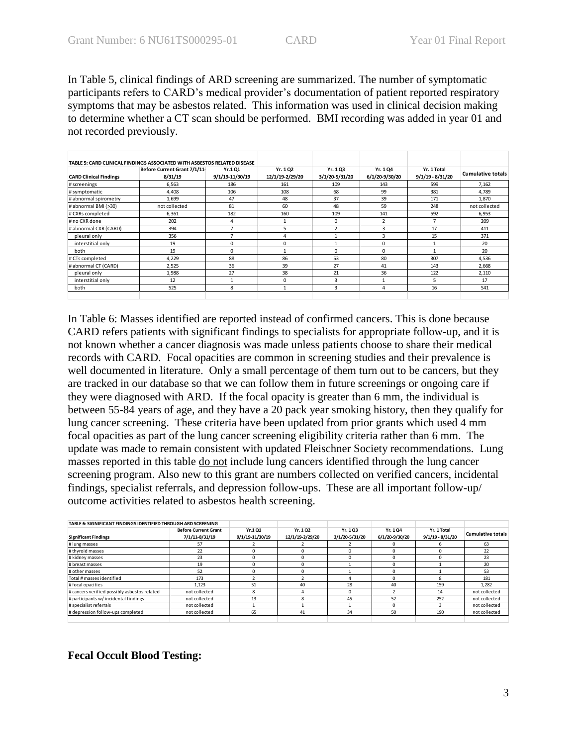In Table 5, clinical findings of ARD screening are summarized. The number of symptomatic participants refers to CARD's medical provider's documentation of patient reported respiratory symptoms that may be asbestos related. This information was used in clinical decision making to determine whether a CT scan should be performed. BMI recording was added in year 01 and not recorded previously.

|                               | TABLE 5: CARD CLINICAL FINDINGS ASSOCIATED WITH ASBESTOS RELATED DISEASE |                            |                             |                            |                            |                                   |                          |
|-------------------------------|--------------------------------------------------------------------------|----------------------------|-----------------------------|----------------------------|----------------------------|-----------------------------------|--------------------------|
| <b>CARD Clinical Findings</b> | Before Current Grant 7/1/11-<br>8/31/19                                  | Yr.1 Q1<br>9/1/19-11/30/19 | Yr. 1 Q2<br>12/1/19-2/29/20 | Yr. 1 Q3<br>3/1/20-5/31/20 | Yr. 1 Q4<br>6/1/20-9/30/20 | Yr. 1 Total<br>$9/1/19 - 8/31/20$ | <b>Cumulative totals</b> |
| #screenings                   | 6,563                                                                    | 186                        | 161                         | 109                        | 143                        | 599                               | 7,162                    |
| #symptomatic                  | 4,408                                                                    | 106                        | 108                         | 68                         | 99                         | 381                               | 4,789                    |
| # abnormal spirometry         | 1.699                                                                    | 47                         | 48                          | 37                         | 39                         | 171                               | 1.870                    |
| # abnormal BMI (>30)          | not collected                                                            | 81                         | 60                          | 48                         | 59                         | 248                               | not collected            |
| # CXRs completed              | 6,361                                                                    | 182                        | 160                         | 109                        | 141                        | 592                               | 6,953                    |
| # no CXR done                 | 202                                                                      | 4                          |                             | 0                          | $\overline{\phantom{a}}$   | 7                                 | 209                      |
| # abnormal CXR (CARD)         | 394                                                                      | $\rightarrow$              | 5                           | $\overline{\phantom{a}}$   | 3                          | 17                                | 411                      |
| pleural only                  | 356                                                                      | -                          | 4                           |                            | 3                          | 15                                | 371                      |
| interstitial only             | 19                                                                       |                            | $\Omega$                    |                            | $\Omega$                   |                                   | 20                       |
| both                          | 19                                                                       | $\Omega$                   |                             | 0                          | $\Omega$                   |                                   | 20                       |
| # CTs completed               | 4.229                                                                    | 88                         | 86                          | 53                         | 80                         | 307                               | 4,536                    |
| # abnormal CT (CARD)          | 2.525                                                                    | 36                         | 39                          | 27                         | 41                         | 143                               | 2.668                    |
| pleural only                  | 1.988                                                                    | 27                         | 38                          | 21                         | 36                         | 122                               | 2,110                    |
| interstitial only             | 12                                                                       |                            | $\Omega$                    | 3                          |                            | 5                                 | 17                       |
| both                          | 525                                                                      | 8                          |                             | 3                          | 4                          | 16                                | 541                      |
|                               |                                                                          |                            |                             |                            |                            |                                   |                          |

In Table 6: Masses identified are reported instead of confirmed cancers. This is done because CARD refers patients with significant findings to specialists for appropriate follow-up, and it is not known whether a cancer diagnosis was made unless patients choose to share their medical records with CARD. Focal opacities are common in screening studies and their prevalence is well documented in literature. Only a small percentage of them turn out to be cancers, but they are tracked in our database so that we can follow them in future screenings or ongoing care if they were diagnosed with ARD. If the focal opacity is greater than 6 mm, the individual is between 55-84 years of age, and they have a 20 pack year smoking history, then they qualify for lung cancer screening. These criteria have been updated from prior grants which used 4 mm focal opacities as part of the lung cancer screening eligibility criteria rather than 6 mm. The update was made to remain consistent with updated Fleischner Society recommendations. Lung masses reported in this table do not include lung cancers identified through the lung cancer screening program. Also new to this grant are numbers collected on verified cancers, incidental findings, specialist referrals, and depression follow-ups. These are all important follow-up/ outcome activities related to asbestos health screening.

| TABLE 6: SIGNIFICANT FINDINGS IDENTIFIED THROUGH ARD SCREENING |                                               |                           |                            |                           |                           |                                   |                          |
|----------------------------------------------------------------|-----------------------------------------------|---------------------------|----------------------------|---------------------------|---------------------------|-----------------------------------|--------------------------|
| <b>Significant Findings</b>                                    | <b>Before Current Grant</b><br>7/1/11-8/31/19 | Yr.101<br>9/1/19-11/30/19 | Yr. 102<br>12/1/19-2/29/20 | Yr. 103<br>3/1/20-5/31/20 | Yr. 104<br>6/1/20-9/30/20 | Yr. 1 Total<br>$9/1/19 - 8/31/20$ | <b>Cumulative totals</b> |
| # lung masses                                                  | 57                                            |                           |                            |                           | 0                         |                                   | 63                       |
| # thyroid masses                                               | 22                                            | n                         |                            |                           | 0                         |                                   | 22                       |
| # kidney masses                                                | 23                                            | n                         |                            | $\Omega$                  | n                         |                                   | 23                       |
| # breast masses                                                | 19                                            | n                         |                            |                           | $\Omega$                  |                                   | 20                       |
| # other masses                                                 | 52                                            | n                         |                            |                           | <sup>n</sup>              |                                   | 53                       |
| Total # masses identified                                      | 173                                           |                           |                            |                           |                           |                                   | 181                      |
| # focal opacities                                              | 1.123                                         | 51                        | 40                         | 28                        | 40                        | 159                               | 1.282                    |
| # cancers verified possibly asbestos related                   | not collected                                 | я                         |                            | $\Omega$                  |                           | 14                                | not collected            |
| # participants w/ incidental findings                          | not collected                                 | 13                        |                            | 45                        | 52                        | 252                               | not collected            |
| # specialist referrals                                         | not collected                                 |                           |                            |                           | 0                         |                                   | not collected            |
| # depression follow-ups completed                              | not collected                                 | 65                        | 41                         | 34                        | 50                        | 190                               | not collected            |
|                                                                |                                               |                           |                            |                           |                           |                                   |                          |

### **Fecal Occult Blood Testing:**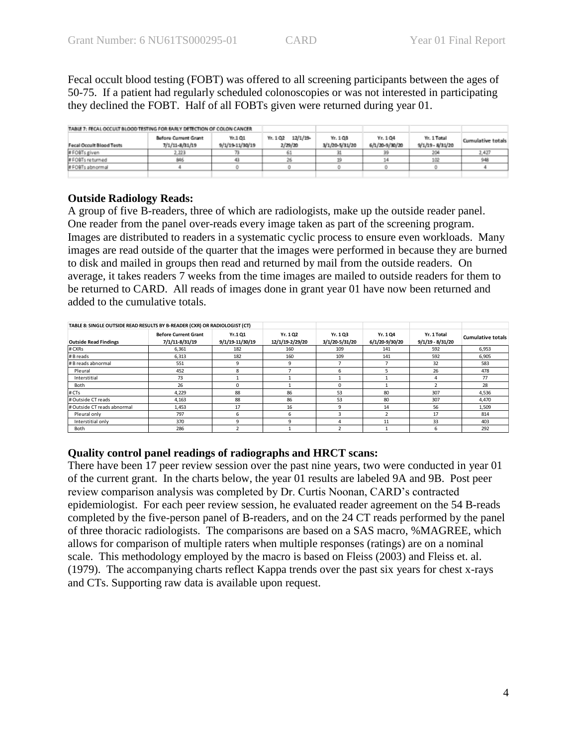Fecal occult blood testing (FOBT) was offered to all screening participants between the ages of 50-75. If a patient had regularly scheduled colonoscopies or was not interested in participating they declined the FOBT. Half of all FOBTs given were returned during year 01.

| TABLE 7: FECAL OCCULT BLOOD TESTING FOR EARLY DETECTION OF COLON CANCER. |                                        |                           |                                |                           |                            |                                   |                   |
|--------------------------------------------------------------------------|----------------------------------------|---------------------------|--------------------------------|---------------------------|----------------------------|-----------------------------------|-------------------|
| Fecal Occult Blood Tests                                                 | Before Current Grant<br>7/1/11-8/31/19 | Yr.101<br>9/1/19-11/30/19 | 12/1/19<br>Yr. 1 Q2<br>2/29/20 | Yr. 103<br>3/1/20-5/31/20 | Yr. 1 Q4<br>6/1/20-9/30/20 | Yr. 1 Total<br>$9/1/19 - 8/31/20$ | Cumulative totals |
| #FOBTs given                                                             | .223                                   |                           |                                |                           |                            | 204                               | 2,427             |
| # FOBTs returned                                                         | 846                                    | 41                        |                                |                           |                            | 102                               |                   |
| # FOBTs abnormal                                                         |                                        |                           |                                |                           |                            |                                   |                   |
|                                                                          |                                        |                           |                                |                           |                            |                                   |                   |

### **Outside Radiology Reads:**

A group of five B-readers, three of which are radiologists, make up the outside reader panel. One reader from the panel over-reads every image taken as part of the screening program. Images are distributed to readers in a systematic cyclic process to ensure even workloads. Many images are read outside of the quarter that the images were performed in because they are burned to disk and mailed in groups then read and returned by mail from the outside readers. On average, it takes readers 7 weeks from the time images are mailed to outside readers for them to be returned to CARD. All reads of images done in grant year 01 have now been returned and added to the cumulative totals.

| TABLE 8: SINGLE OUTSIDE READ RESULTS BY B-READER (CXR) OR RADIOLOGIST (CT) |                                               |                           |                            |                           |                           |                                   |                          |
|----------------------------------------------------------------------------|-----------------------------------------------|---------------------------|----------------------------|---------------------------|---------------------------|-----------------------------------|--------------------------|
| <b>Outside Read Findings</b>                                               | <b>Before Current Grant</b><br>7/1/11-8/31/19 | Yr.101<br>9/1/19-11/30/19 | Yr. 102<br>12/1/19-2/29/20 | Yr. 103<br>3/1/20-5/31/20 | Yr. 104<br>6/1/20-9/30/20 | Yr. 1 Total<br>$9/1/19 - 8/31/20$ | <b>Cumulative totals</b> |
| # CXRs                                                                     | 6,361                                         | 182                       | 160                        | 109                       | 141                       | 592                               | 6,953                    |
| # B reads                                                                  | 6,313                                         | 182                       | 160                        | 109                       | 141                       | 592                               | 6,905                    |
| # B reads abnormal                                                         | 551                                           | 9                         | 9                          |                           |                           | 32                                | 583                      |
| Pleural                                                                    | 452                                           |                           |                            | 6                         |                           | 26                                | 478                      |
| Interstitial                                                               | 73                                            |                           |                            |                           |                           |                                   | 77                       |
| Both                                                                       | 26                                            |                           |                            | 0                         |                           |                                   | 28                       |
| # CTs                                                                      | 4,229                                         | 88                        | 86                         | 53                        | 80                        | 307                               | 4,536                    |
| # Outside CT reads                                                         | 4,163                                         | 88                        | 86                         | 53                        | 80                        | 307                               | 4,470                    |
| # Outside CT reads abnormal                                                | 1.453                                         | 17                        | 16                         | q                         | 14                        | 56                                | 1,509                    |
| Pleural only                                                               | 797                                           |                           | 6                          |                           |                           | 17                                | 814                      |
| Interstitial only                                                          | 370                                           |                           | a                          |                           | 11                        | 33                                | 403                      |
| Both                                                                       | 286                                           |                           |                            |                           |                           | 6                                 | 292                      |

### **Quality control panel readings of radiographs and HRCT scans:**

There have been 17 peer review session over the past nine years, two were conducted in year 01 of the current grant. In the charts below, the year 01 results are labeled 9A and 9B. Post peer review comparison analysis was completed by Dr. Curtis Noonan, CARD's contracted epidemiologist. For each peer review session, he evaluated reader agreement on the 54 B-reads completed by the five-person panel of B-readers, and on the 24 CT reads performed by the panel of three thoracic radiologists. The comparisons are based on a SAS macro, %MAGREE, which allows for comparison of multiple raters when multiple responses (ratings) are on a nominal scale. This methodology employed by the macro is based on Fleiss (2003) and Fleiss et. al. (1979). The accompanying charts reflect Kappa trends over the past six years for chest x-rays and CTs. Supporting raw data is available upon request.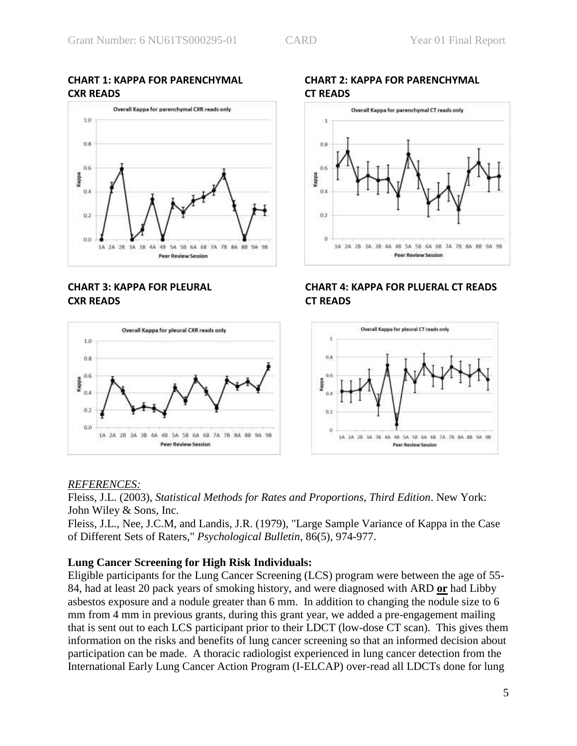### **CHART 1: KAPPA FOR PARENCHYMAL CHART 2: KAPPA FOR PARENCHYMAL CXR READS CT READS**



# **CXR READS CT READS**





# **CHART 3: KAPPA FOR PLEURAL CHART 4: KAPPA FOR PLUERAL CT READS**



### *REFERENCES:*

Fleiss, J.L. (2003), *Statistical Methods for Rates and Proportions, Third Edition*. New York: John Wiley & Sons, Inc.

Fleiss, J.L., Nee, J.C.M, and Landis, J.R. (1979), "Large Sample Variance of Kappa in the Case of Different Sets of Raters," *Psychological Bulletin*, 86(5), 974-977.

### **Lung Cancer Screening for High Risk Individuals:**

Eligible participants for the Lung Cancer Screening (LCS) program were between the age of 55- 84, had at least 20 pack years of smoking history, and were diagnosed with ARD **or** had Libby asbestos exposure and a nodule greater than 6 mm. In addition to changing the nodule size to 6 mm from 4 mm in previous grants, during this grant year, we added a pre-engagement mailing that is sent out to each LCS participant prior to their LDCT (low-dose CT scan). This gives them information on the risks and benefits of lung cancer screening so that an informed decision about participation can be made. A thoracic radiologist experienced in lung cancer detection from the International Early Lung Cancer Action Program (I-ELCAP) over-read all LDCTs done for lung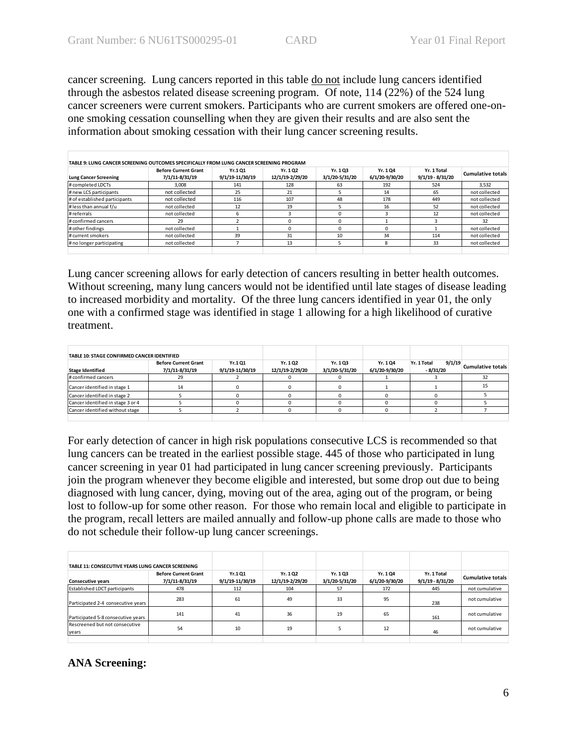cancer screening. Lung cancers reported in this table do not include lung cancers identified through the asbestos related disease screening program. Of note, 114 (22%) of the 524 lung cancer screeners were current smokers. Participants who are current smokers are offered one-onone smoking cessation counselling when they are given their results and are also sent the information about smoking cessation with their lung cancer screening results.

| Lung Cancer Screening         | <b>Before Current Grant</b><br>7/1/11-8/31/19 | Yr.101<br>9/1/19-11/30/19 | Yr. 102<br>12/1/19-2/29/20 | Yr. 103<br>3/1/20-5/31/20 | Yr. 104<br>6/1/20-9/30/20 | Yr. 1 Total<br>$9/1/19 - 8/31/20$ | <b>Cumulative totals</b> |
|-------------------------------|-----------------------------------------------|---------------------------|----------------------------|---------------------------|---------------------------|-----------------------------------|--------------------------|
| # completed LDCTs             | 3.008                                         | 141                       | 128                        | 63                        | 192                       | 524                               | 3.532                    |
| # new LCS participants        | not collected                                 | 25                        | 21                         |                           | 14                        | 65                                | not collected            |
| # of established participants | not collected                                 | 116                       | 107                        | 48                        | 178                       | 449                               | not collected            |
| # less than annual f/u        | not collected                                 | 12                        | 19                         |                           | 16                        | 52                                | not collected            |
| # referrals                   | not collected                                 |                           |                            | $\Omega$                  |                           | 12                                | not collected            |
| # confirmed cancers           | 29                                            |                           |                            | 0                         |                           |                                   | 32                       |
| # other findings              | not collected                                 |                           |                            | $\Omega$                  |                           |                                   | not collected            |
| # current smokers             | not collected                                 | 39                        | 31                         | 10                        | 34                        | 114                               | not collected            |
| # no longer participating     | not collected                                 |                           | 13                         |                           | 8                         | 33                                | not collected            |

Lung cancer screening allows for early detection of cancers resulting in better health outcomes. Without screening, many lung cancers would not be identified until late stages of disease leading to increased morbidity and mortality. Of the three lung cancers identified in year 01, the only one with a confirmed stage was identified in stage 1 allowing for a high likelihood of curative treatment.

| TABLE 10: STAGE CONFIRMED CANCER IDENTIFIED |                                               |                            |                             |                           |                           |                                     |                          |
|---------------------------------------------|-----------------------------------------------|----------------------------|-----------------------------|---------------------------|---------------------------|-------------------------------------|--------------------------|
| <b>Stage Identified</b>                     | <b>Before Current Grant</b><br>7/1/11-8/31/19 | Yr.1 Q1<br>9/1/19-11/30/19 | Yr. 1 Q2<br>12/1/19-2/29/20 | Yr. 103<br>3/1/20-5/31/20 | Yr. 104<br>6/1/20-9/30/20 | 9/1/19<br>Yr. 1 Total<br>$-8/31/20$ | <b>Cumulative totals</b> |
| # confirmed cancers                         |                                               |                            |                             |                           |                           |                                     |                          |
| Cancer identified in stage 1                | 14                                            |                            |                             |                           |                           |                                     |                          |
| Cancer identified in stage 2                |                                               |                            |                             |                           |                           |                                     |                          |
| Cancer identified in stage 3 or 4           |                                               |                            |                             |                           |                           |                                     |                          |
| Cancer identified without stage             |                                               |                            |                             |                           |                           |                                     |                          |
|                                             |                                               |                            |                             |                           |                           |                                     |                          |

For early detection of cancer in high risk populations consecutive LCS is recommended so that lung cancers can be treated in the earliest possible stage. 445 of those who participated in lung cancer screening in year 01 had participated in lung cancer screening previously. Participants join the program whenever they become eligible and interested, but some drop out due to being diagnosed with lung cancer, dying, moving out of the area, aging out of the program, or being lost to follow-up for some other reason. For those who remain local and eligible to participate in the program, recall letters are mailed annually and follow-up phone calls are made to those who do not schedule their follow-up lung cancer screenings. TABLE 10: STAGE CONFIRMED CANCER IDENTIFIED<br>
Stage Identified<br>
# confirmed cancers<br>  $\frac{71}{111.8731/19}$ <br>
Cancer identified in stage 1<br>
Cancer identified in stage 3 or 4<br>
Sancer identified without stage<br>
5<br>
Cancer identifi

| TABLE 11: CONSECUTIVE YEARS LUNG CANCER SCREENING |                                               |                            |                            |                           |                           |                                 |                          |
|---------------------------------------------------|-----------------------------------------------|----------------------------|----------------------------|---------------------------|---------------------------|---------------------------------|--------------------------|
| <b>Consecutive years</b>                          | <b>Before Current Grant</b><br>7/1/11-8/31/19 | Yr.1 Q1<br>9/1/19-11/30/19 | Yr. 102<br>12/1/19-2/29/20 | Yr. 103<br>3/1/20-5/31/20 | Yr. 104<br>6/1/20-9/30/20 | Yr. 1 Total<br>9/1/19 - 8/31/20 | <b>Cumulative totals</b> |
| <b>Established LDCT participants</b>              | 478                                           | 112                        | 104                        | 57                        | 172                       | 445                             | not cumulative           |
| Participated 2-4 consecutive years                | 283                                           | 61                         | 49                         | 33                        | 95                        | 238                             | not cumulative           |
| Participated 5-8 consecutive years                | 141                                           | 41                         | 36                         | 19                        | 65                        | 161                             | not cumulative           |
| Rescreened but not consecutive<br>years           | 54                                            | 10                         | 19                         |                           | 12                        | 46                              | not cumulative           |
|                                                   |                                               |                            |                            |                           |                           |                                 |                          |

### **ANA Screening:**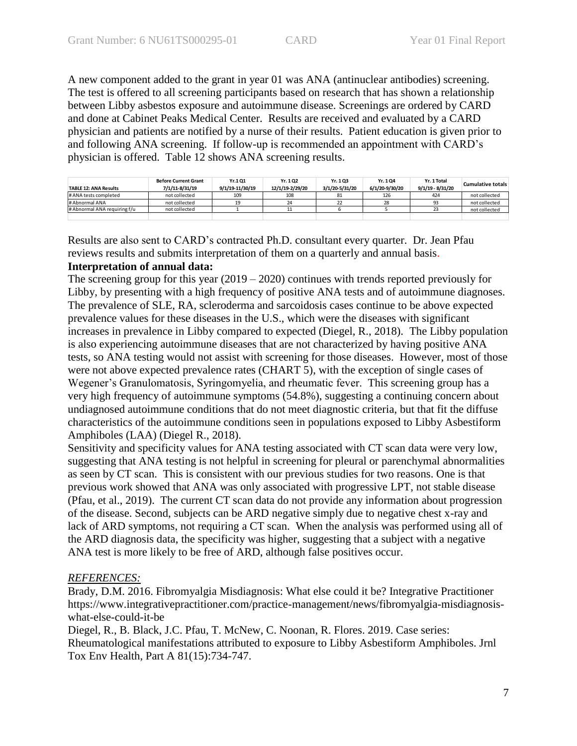A new component added to the grant in year 01 was ANA (antinuclear antibodies) screening. The test is offered to all screening participants based on research that has shown a relationship between Libby asbestos exposure and autoimmune disease. Screenings are ordered by CARD and done at Cabinet Peaks Medical Center. Results are received and evaluated by a CARD physician and patients are notified by a nurse of their results. Patient education is given prior to and following ANA screening. If follow-up is recommended an appointment with CARD's physician is offered. Table 12 shows ANA screening results.

| <b>TABLE 12: ANA Results</b> | <b>Before Current Grant</b><br>7/1/11-8/31/19 | Yr.101<br>9/1/19-11/30/19 | Yr. 102<br>12/1/19-2/29/20 | Yr. 103<br>3/1/20-5/31/20 | Yr. 104<br>6/1/20-9/30/20 | Yr. 1 Total<br>9/1/19 - 8/31/20 | Cumulative totals |
|------------------------------|-----------------------------------------------|---------------------------|----------------------------|---------------------------|---------------------------|---------------------------------|-------------------|
|                              |                                               |                           |                            |                           |                           |                                 |                   |
| # ANA tests completed        | not collected                                 | 109                       | 108                        |                           | 126                       | 424                             | not collected     |
| # Abnormal ANA               | not collected                                 | 19                        | 24                         |                           | 28                        | 93                              | not collected     |
| # Abnormal ANA requiring f/u | not collected                                 |                           |                            |                           |                           |                                 | not collected     |
|                              |                                               |                           |                            |                           |                           |                                 |                   |

Results are also sent to CARD's contracted Ph.D. consultant every quarter. Dr. Jean Pfau reviews results and submits interpretation of them on a quarterly and annual basis.

### **Interpretation of annual data:**

The screening group for this year (2019 – 2020) continues with trends reported previously for Libby, by presenting with a high frequency of positive ANA tests and of autoimmune diagnoses. The prevalence of SLE, RA, scleroderma and sarcoidosis cases continue to be above expected prevalence values for these diseases in the U.S., which were the diseases with significant increases in prevalence in Libby compared to expected (Diegel, R., 2018). The Libby population is also experiencing autoimmune diseases that are not characterized by having positive ANA tests, so ANA testing would not assist with screening for those diseases. However, most of those were not above expected prevalence rates (CHART 5), with the exception of single cases of Wegener's Granulomatosis, Syringomyelia, and rheumatic fever. This screening group has a very high frequency of autoimmune symptoms (54.8%), suggesting a continuing concern about undiagnosed autoimmune conditions that do not meet diagnostic criteria, but that fit the diffuse characteristics of the autoimmune conditions seen in populations exposed to Libby Asbestiform Amphiboles (LAA) (Diegel R., 2018).

Sensitivity and specificity values for ANA testing associated with CT scan data were very low, suggesting that ANA testing is not helpful in screening for pleural or parenchymal abnormalities as seen by CT scan. This is consistent with our previous studies for two reasons. One is that previous work showed that ANA was only associated with progressive LPT, not stable disease (Pfau, et al., 2019). The current CT scan data do not provide any information about progression of the disease. Second, subjects can be ARD negative simply due to negative chest x-ray and lack of ARD symptoms, not requiring a CT scan. When the analysis was performed using all of the ARD diagnosis data, the specificity was higher, suggesting that a subject with a negative ANA test is more likely to be free of ARD, although false positives occur.

### *REFERENCES:*

Brady, D.M. 2016. Fibromyalgia Misdiagnosis: What else could it be? Integrative Practitioner https://www.integrativepractitioner.com/practice-management/news/fibromyalgia-misdiagnosiswhat-else-could-it-be

Diegel, R., B. Black, J.C. Pfau, T. McNew, C. Noonan, R. Flores. 2019. Case series: Rheumatological manifestations attributed to exposure to Libby Asbestiform Amphiboles. Jrnl Tox Env Health, Part A 81(15):734-747.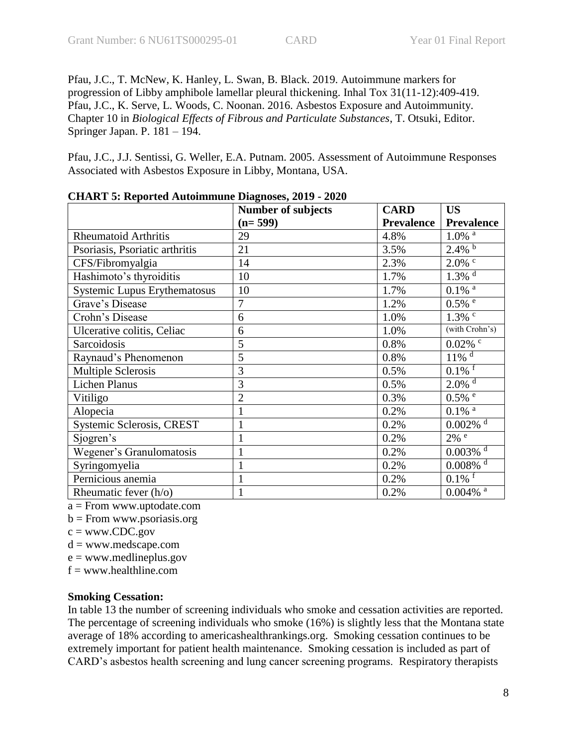Pfau, J.C., T. McNew, K. Hanley, L. Swan, B. Black. 2019. Autoimmune markers for progression of Libby amphibole lamellar pleural thickening. Inhal Tox 31(11-12):409-419. Pfau, J.C., K. Serve, L. Woods, C. Noonan. 2016. Asbestos Exposure and Autoimmunity. Chapter 10 in *Biological Effects of Fibrous and Particulate Substances*, T. Otsuki, Editor. Springer Japan. P. 181 – 194.

Pfau, J.C., J.J. Sentissi, G. Weller, E.A. Putnam. 2005. Assessment of Autoimmune Responses Associated with Asbestos Exposure in Libby, Montana, USA.

|                                     | <b>Number of subjects</b> | <b>CARD</b>       | <b>US</b>                                   |
|-------------------------------------|---------------------------|-------------------|---------------------------------------------|
|                                     | $(n=599)$                 | <b>Prevalence</b> | <b>Prevalence</b>                           |
| <b>Rheumatoid Arthritis</b>         | 29                        | 4.8%              | $1.0\%$ <sup>a</sup>                        |
| Psoriasis, Psoriatic arthritis      | 21                        | 3.5%              | $2.4\%$                                     |
| CFS/Fibromyalgia                    | 14                        | 2.3%              | $2.0\%$ c                                   |
| Hashimoto's thyroiditis             | 10                        | 1.7%              | $1.3\overline{\%}$ <sup>d</sup>             |
| <b>Systemic Lupus Erythematosus</b> | 10                        | 1.7%              | $0.1\%$ <sup>a</sup>                        |
| Grave's Disease                     | $\overline{7}$            | 1.2%              | $0.5\%$ <sup><math>\frac{e}{e}</math></sup> |
| Crohn's Disease                     | 6                         | 1.0%              | $1.3\%$ <sup>c</sup>                        |
| Ulcerative colitis, Celiac          | 6                         | 1.0%              | (with Crohn's)                              |
| Sarcoidosis                         | 5                         | 0.8%              | $0.02\%$ <sup>c</sup>                       |
| Raynaud's Phenomenon                | 5                         | 0.8%              | $11\%$ <sup>d</sup>                         |
| <b>Multiple Sclerosis</b>           | 3                         | 0.5%              | $0.1\%$ <sup>f</sup>                        |
| <b>Lichen Planus</b>                | 3                         | 0.5%              | $2.0\%$ <sup>d</sup>                        |
| Vitiligo                            | $\overline{2}$            | 0.3%              | $0.5\%$ <sup>e</sup>                        |
| Alopecia                            |                           | 0.2%              | $0.1\%$ <sup>a</sup>                        |
| Systemic Sclerosis, CREST           | $\mathbf{1}$              | 0.2%              | $0.002\%$ <sup>d</sup>                      |
| Sjogren's                           |                           | 0.2%              | $2\%$ <sup>e</sup>                          |
| Wegener's Granulomatosis            |                           | 0.2%              | $0.003\%$ <sup>d</sup>                      |
| Syringomyelia                       | 1                         | 0.2%              | $0.008\%$ <sup>d</sup>                      |
| Pernicious anemia                   |                           | 0.2%              | $0.1\%$ <sup>T</sup>                        |
| Rheumatic fever $(h/o)$             |                           | 0.2%              | $0.004\%$ <sup>a</sup>                      |

**CHART 5: Reported Autoimmune Diagnoses, 2019 - 2020**

a = From www.uptodate.com

 $b =$ From www.psoriasis.org

 $c = www.CDC.gov$ 

 $d = www.medscape.com$ 

 $e =$  www.medlineplus.gov

 $f = www.healthline.com$ 

### **Smoking Cessation:**

In table 13 the number of screening individuals who smoke and cessation activities are reported. The percentage of screening individuals who smoke (16%) is slightly less that the Montana state average of 18% according to americashealthrankings.org. Smoking cessation continues to be extremely important for patient health maintenance. Smoking cessation is included as part of CARD's asbestos health screening and lung cancer screening programs. Respiratory therapists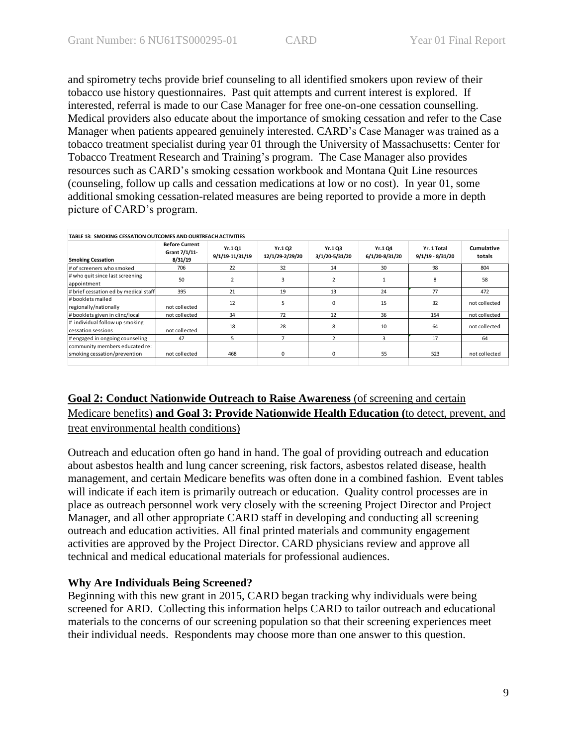and spirometry techs provide brief counseling to all identified smokers upon review of their tobacco use history questionnaires. Past quit attempts and current interest is explored. If interested, referral is made to our Case Manager for free one-on-one cessation counselling. Medical providers also educate about the importance of smoking cessation and refer to the Case Manager when patients appeared genuinely interested. CARD's Case Manager was trained as a tobacco treatment specialist during year 01 through the University of Massachusetts: Center for Tobacco Treatment Research and Training's program. The Case Manager also provides resources such as CARD's smoking cessation workbook and Montana Quit Line resources (counseling, follow up calls and cessation medications at low or no cost). In year 01, some additional smoking cessation-related measures are being reported to provide a more in depth picture of CARD's program.

| <b>Smoking Cessation</b>                                       | <b>Before Current</b><br>Grant 7/1/11-<br>8/31/19 | Yr.101<br>9/1/19-11/31/19 | Yr.102<br>12/1/29-2/29/20 | Yr.1 Q3<br>3/1/20-5/31/20 | Yr.104<br>6/1/20-8/31/20 | Yr. 1 Total<br>$9/1/19 - 8/31/20$ | Cumulative<br>totals |
|----------------------------------------------------------------|---------------------------------------------------|---------------------------|---------------------------|---------------------------|--------------------------|-----------------------------------|----------------------|
| # of screeners who smoked                                      | 706                                               | 22                        | 32                        | 14                        | 30                       | 98                                | 804                  |
| # who quit since last screening<br>appointment                 | 50                                                | $\overline{\mathbf{z}}$   | 3                         | 2                         |                          | 8                                 | 58                   |
| # brief cessation ed by medical staff                          | 395                                               | 21                        | 19                        | 13                        | 24                       | 77                                | 472                  |
| # booklets mailed<br>regionally/nationally                     | not collected                                     | 12                        | 5                         | $\Omega$                  | 15                       | 32                                | not collected        |
| #booklets given in clinc/local                                 | not collected                                     | 34                        | 72                        | 12                        | 36                       | 154                               | not collected        |
| # individual follow up smoking<br>cessation sessions           | not collected                                     | 18                        | 28                        | 8                         | 10                       | 64                                | not collected        |
| # engaged in ongoing counseling                                | 47                                                | 5                         | $\overline{7}$            |                           | 3                        | 17                                | 64                   |
| community members educated re:<br>smoking cessation/prevention | not collected                                     | 468                       | 0                         | $\Omega$                  | 55                       | 523                               | not collected        |

## **Goal 2: Conduct Nationwide Outreach to Raise Awareness** (of screening and certain Medicare benefits) **and Goal 3: Provide Nationwide Health Education (**to detect, prevent, and

treat environmental health conditions)

Outreach and education often go hand in hand. The goal of providing outreach and education about asbestos health and lung cancer screening, risk factors, asbestos related disease, health management, and certain Medicare benefits was often done in a combined fashion. Event tables will indicate if each item is primarily outreach or education. Quality control processes are in place as outreach personnel work very closely with the screening Project Director and Project Manager, and all other appropriate CARD staff in developing and conducting all screening outreach and education activities. All final printed materials and community engagement activities are approved by the Project Director. CARD physicians review and approve all technical and medical educational materials for professional audiences.

### **Why Are Individuals Being Screened?**

Beginning with this new grant in 2015, CARD began tracking why individuals were being screened for ARD. Collecting this information helps CARD to tailor outreach and educational materials to the concerns of our screening population so that their screening experiences meet their individual needs. Respondents may choose more than one answer to this question.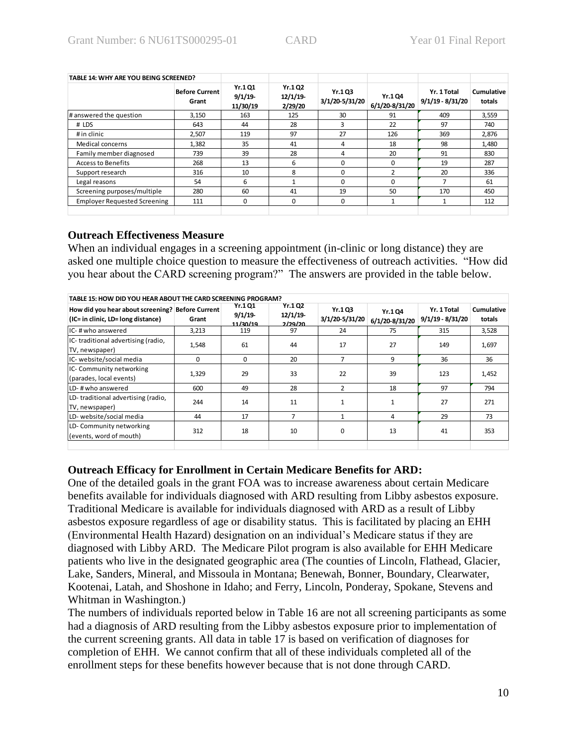| TABLE 14: WHY ARE YOU BEING SCREENED? |                                |                               |                               |                           |                           |                                   |                      |
|---------------------------------------|--------------------------------|-------------------------------|-------------------------------|---------------------------|---------------------------|-----------------------------------|----------------------|
|                                       | <b>Before Current</b><br>Grant | Yr.1 Q1<br>9/1/19<br>11/30/19 | Yr.1 Q2<br>12/1/19<br>2/29/20 | Yr.1 Q3<br>3/1/20-5/31/20 | Yr.1 Q4<br>6/1/20-8/31/20 | Yr. 1 Total<br>$9/1/19 - 8/31/20$ | Cumulative<br>totals |
| # answered the question               | 3,150                          | 163                           | 125                           | 30                        | 91                        | 409                               | 3,559                |
| # LDS                                 | 643                            | 44                            | 28                            | 3                         | 22                        | 97                                | 740                  |
| # in clinic                           | 2,507                          | 119                           | 97                            | 27                        | 126                       | 369                               | 2,876                |
| Medical concerns                      | 1,382                          | 35                            | 41                            | 4                         | 18                        | 98                                | 1,480                |
| Family member diagnosed               | 739                            | 39                            | 28                            | 4                         | 20                        | 91                                | 830                  |
| <b>Access to Benefits</b>             | 268                            | 13                            | 6                             | $\Omega$                  | 0                         | 19                                | 287                  |
| Support research                      | 316                            | 10                            | 8                             | 0                         | $\mathcal{D}$             | 20                                | 336                  |
| Legal reasons                         | 54                             | 6                             |                               | 0                         | 0                         |                                   | 61                   |
| Screening purposes/multiple           | 280                            | 60                            | 41                            | 19                        | 50                        | 170                               | 450                  |
| <b>Employer Requested Screening</b>   | 111                            | 0                             | 0                             | 0                         |                           |                                   | 112                  |

### **Outreach Effectiveness Measure**

When an individual engages in a screening appointment (in-clinic or long distance) they are asked one multiple choice question to measure the effectiveness of outreach activities. "How did you hear about the CARD screening program?" The answers are provided in the table below.

| TABLE 15: HOW DID YOU HEAR ABOUT THE CARD SCREENING PROGRAM?                           |       |                               |                                            |                          |                           |                                   |                      |  |  |
|----------------------------------------------------------------------------------------|-------|-------------------------------|--------------------------------------------|--------------------------|---------------------------|-----------------------------------|----------------------|--|--|
| How did you hear about screening? Before Current<br>(IC= in clinic, LD= long distance) | Grant | Yr.1 O1<br>9/1/19<br>11/20/10 | <b>Yr.1Q2</b><br>12/1/19<br><u>חר/סר/ר</u> | Yr.103<br>3/1/20-5/31/20 | Yr.1 Q4<br>6/1/20-8/31/20 | Yr. 1 Total<br>$9/1/19 - 8/31/20$ | Cumulative<br>totals |  |  |
| IC-#whoanswered                                                                        | 3,213 | 119                           | 97                                         | 24                       | 75                        | 315                               | 3,528                |  |  |
| IC-traditional advertising (radio,<br>TV, newspaper)                                   | 1,548 | 61                            | 44                                         | 17                       | 27                        | 149                               | 1,697                |  |  |
| IC- website/social media                                                               | 0     | 0                             | 20                                         | 7                        | 9                         | 36                                | 36                   |  |  |
| IC- Community networking<br>(parades, local events)                                    | 1,329 | 29                            | 33                                         | 22                       | 39                        | 123                               | 1,452                |  |  |
| LD-#who answered                                                                       | 600   | 49                            | 28                                         | $\overline{2}$           | 18                        | 97                                | 794                  |  |  |
| LD-traditional advertising (radio,<br>TV, newspaper)                                   | 244   | 14                            | 11                                         | $\mathbf{1}$             |                           | 27                                | 271                  |  |  |
| LD- website/social media                                                               | 44    | 17                            | 7                                          | $\mathbf{1}$             | 4                         | 29                                | 73                   |  |  |
| LD- Community networking<br>(events, word of mouth)                                    | 312   | 18                            | 10                                         | 0                        | 13                        | 41                                | 353                  |  |  |
|                                                                                        |       |                               |                                            |                          |                           |                                   |                      |  |  |

### **Outreach Efficacy for Enrollment in Certain Medicare Benefits for ARD:**

One of the detailed goals in the grant FOA was to increase awareness about certain Medicare benefits available for individuals diagnosed with ARD resulting from Libby asbestos exposure. Traditional Medicare is available for individuals diagnosed with ARD as a result of Libby asbestos exposure regardless of age or disability status. This is facilitated by placing an EHH (Environmental Health Hazard) designation on an individual's Medicare status if they are diagnosed with Libby ARD. The Medicare Pilot program is also available for EHH Medicare patients who live in the designated geographic area (The counties of Lincoln, Flathead, Glacier, Lake, Sanders, Mineral, and Missoula in Montana; Benewah, Bonner, Boundary, Clearwater, Kootenai, Latah, and Shoshone in Idaho; and Ferry, Lincoln, Ponderay, Spokane, Stevens and Whitman in Washington.)

The numbers of individuals reported below in Table 16 are not all screening participants as some had a diagnosis of ARD resulting from the Libby asbestos exposure prior to implementation of the current screening grants. All data in table 17 is based on verification of diagnoses for completion of EHH. We cannot confirm that all of these individuals completed all of the enrollment steps for these benefits however because that is not done through CARD.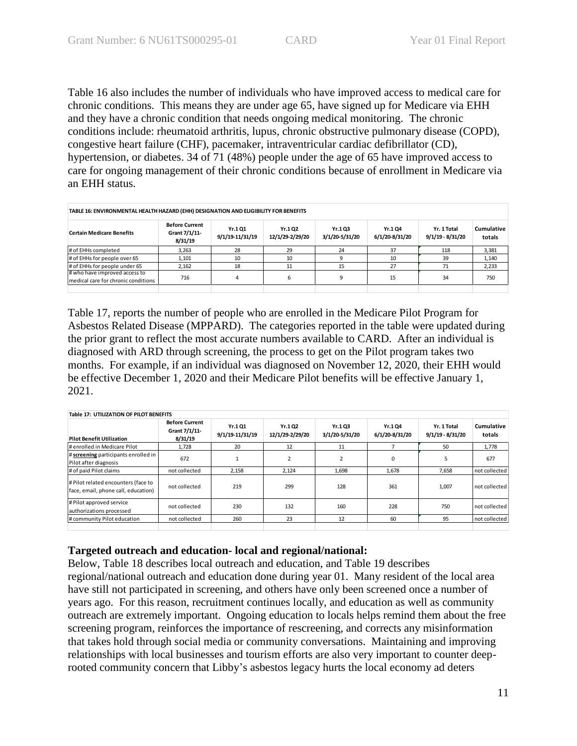Table 16 also includes the number of individuals who have improved access to medical care for chronic conditions. This means they are under age 65, have signed up for Medicare via EHH and they have a chronic condition that needs ongoing medical monitoring. The chronic conditions include: rheumatoid arthritis, lupus, chronic obstructive pulmonary disease (COPD), congestive heart failure (CHF), pacemaker, intraventricular cardiac defibrillator (CD), hypertension, or diabetes. 34 of 71 (48%) people under the age of 65 have improved access to care for ongoing management of their chronic conditions because of enrollment in Medicare via an EHH status.

| TABLE 16: ENVIRONMENTAL HEALTH HAZARD (EHH) DESIGNATION AND ELIGIBILITY FOR BENEFITS |                                                   |                           |                            |                          |                          |                                   |                      |  |
|--------------------------------------------------------------------------------------|---------------------------------------------------|---------------------------|----------------------------|--------------------------|--------------------------|-----------------------------------|----------------------|--|
| <b>Certain Medicare Benefits</b>                                                     | <b>Before Current</b><br>Grant 7/1/11-<br>8/31/19 | Yr.101<br>9/1/19-11/31/19 | Yr.1 Q2<br>12/1/29-2/29/20 | Yr.103<br>3/1/20-5/31/20 | Yr.104<br>6/1/20-8/31/20 | Yr. 1 Total<br>$9/1/19 - 8/31/20$ | Cumulative<br>totals |  |
| # of EHHs completed                                                                  | 3.263                                             | 28                        | 29                         | 24                       | 37                       | 118                               | 3,381                |  |
| # of EHHs for people over 65                                                         | 1,101                                             | 10                        | 10                         |                          | 10                       | 39                                | 1,140                |  |
| # of EHHs for people under 65                                                        | 2,162                                             | 18                        | 11                         | 15                       | 27                       | 71                                | 2,233                |  |
| # who have improved access to<br>medical care for chronic conditions                 | 716                                               | 4                         | b                          |                          | 15                       | 34                                | 750                  |  |
|                                                                                      |                                                   |                           |                            |                          |                          |                                   |                      |  |

Table 17, reports the number of people who are enrolled in the Medicare Pilot Program for Asbestos Related Disease (MPPARD). The categories reported in the table were updated during the prior grant to reflect the most accurate numbers available to CARD. After an individual is diagnosed with ARD through screening, the process to get on the Pilot program takes two months. For example, if an individual was diagnosed on November 12, 2020, their EHH would be effective December 1, 2020 and their Medicare Pilot benefits will be effective January 1, 2021.

|                                                                            | <b>Table 17: UTILIZATION OF PILOT BENEFITS</b>    |                            |                           |                          |                          |                                   |                      |  |  |
|----------------------------------------------------------------------------|---------------------------------------------------|----------------------------|---------------------------|--------------------------|--------------------------|-----------------------------------|----------------------|--|--|
| <b>Pilot Benefit Utilization</b>                                           | <b>Before Current</b><br>Grant 7/1/11-<br>8/31/19 | Yr.1 Q1<br>9/1/19-11/31/19 | Yr.102<br>12/1/29-2/29/20 | Yr.103<br>3/1/20-5/31/20 | Yr.104<br>6/1/20-8/31/20 | Yr. 1 Total<br>$9/1/19 - 8/31/20$ | Cumulative<br>totals |  |  |
| # enrolled in Medicare Pilot                                               | 1,728                                             | 20                         | 12                        | 11                       |                          | 50                                | 1,778                |  |  |
| # screening participants enrolled in<br>Pilot after diagnosis              | 672                                               |                            |                           | $\overline{2}$           | 0                        | 5                                 | 677                  |  |  |
| # of paid Pilot claims                                                     | not collected                                     | 2,158                      | 2,124                     | 1,698                    | 1,678                    | 7.658                             | not collected        |  |  |
| # Pilot related encounters (face to<br>face, email, phone call, education) | not collected                                     | 219                        | 299                       | 128                      | 361                      | 1,007                             | not collected        |  |  |
| # Pilot approved service<br>authorizations processed                       | not collected                                     | 230                        | 132                       | 160                      | 228                      | 750                               | not collected        |  |  |
| # community Pilot education                                                | not collected                                     | 260                        | 23                        | 12                       | 60                       | 95                                | not collected        |  |  |
|                                                                            |                                                   |                            |                           |                          |                          |                                   |                      |  |  |

### **Targeted outreach and education- local and regional/national:**

Below, Table 18 describes local outreach and education, and Table 19 describes regional/national outreach and education done during year 01. Many resident of the local area have still not participated in screening, and others have only been screened once a number of years ago. For this reason, recruitment continues locally, and education as well as community outreach are extremely important. Ongoing education to locals helps remind them about the free screening program, reinforces the importance of rescreening, and corrects any misinformation that takes hold through social media or community conversations. Maintaining and improving relationships with local businesses and tourism efforts are also very important to counter deeprooted community concern that Libby's asbestos legacy hurts the local economy ad deters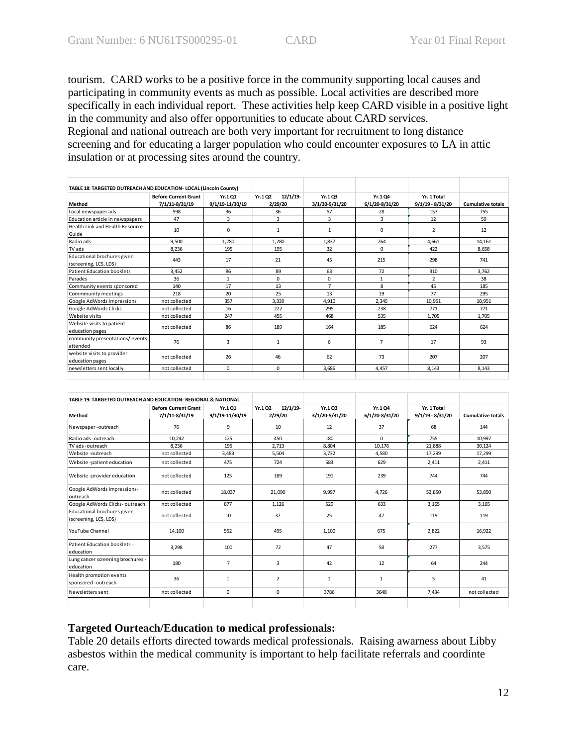tourism. CARD works to be a positive force in the community supporting local causes and participating in community events as much as possible. Local activities are described more specifically in each individual report. These activities help keep CARD visible in a positive light in the community and also offer opportunities to educate about CARD services. Regional and national outreach are both very important for recruitment to long distance screening and for educating a larger population who could encounter exposures to LA in attic insulation or at processing sites around the country.

| 12/1/19<br>Yr.103<br>Yr.104<br>Yr. 1 Total<br><b>Before Current Grant</b><br>Yr.102<br>Yr.101<br>7/1/11-8/31/19<br>9/1/19-11/30/19<br>2/29/20<br>9/1/19 - 8/31/20<br>3/1/20-5/31/20<br>6/1/20-8/31/20<br><b>Cumulative totals</b><br>Method<br>Local newspaper ads<br>598<br>36<br>57<br>28<br>157<br>755<br>36<br>3<br>3<br>3<br>3<br>59<br>47<br>12<br>Education article in newspapers<br>Health Link and Health Resource<br>$\overline{2}$<br>10<br>0<br>$\mathbf{1}$<br>1<br>0<br>12<br>Guide<br>Radio ads<br>9.500<br>1.280<br>1.280<br>1,837<br>264<br>4.661<br>14,161<br>TV ads<br>195<br>195<br>32<br>$\Omega$<br>422<br>8.236<br>8,658<br>Educational brochures given<br>17<br>21<br>45<br>443<br>215<br>298<br>741<br>(screening, LCS, LDS)<br>86<br>89<br>63<br>72<br><b>Patient Education booklets</b><br>3,452<br>310<br>3,762<br>Parades<br>0<br>0<br>$\overline{2}$<br>36<br>$\mathbf{1}$<br>$\mathbf{1}$<br>38<br>13<br>$\overline{7}$<br>8<br>45<br>17<br>185<br>140<br>Community events sponsored<br>25<br>19<br>77<br>218<br>20<br>13<br>295<br>Commmunity meetings<br>Google AdWords Impressions<br>not collected<br>357<br>3.339<br>4,910<br>2.345<br>10.951<br>10,951<br>Google AdWords Clicks<br>not collected<br>16<br>222<br>295<br>238<br>771<br>771<br>Website visits<br>not collected<br>247<br>455<br>535<br>468<br>1.705<br>1.705<br>Website visits to patient<br>not collected<br>86<br>189<br>185<br>164<br>624<br>624<br>education pages<br>community presentations/events<br>76<br>3<br>6<br>$\overline{7}$<br>$\mathbf{1}$<br>17<br>93<br>attended<br>website visits to provider<br>73<br>26<br>62<br>46<br>207<br>207<br>not collected<br>education pages<br>not collected<br>newsletters sent locally<br>$\Omega$<br>0<br>3,686<br>4,457<br>8,143<br>8,143 | TABLE 18: TARGETED OUTREACH AND EDUCATION- LOCAL (Lincoln County) |  |  |  |  |
|-------------------------------------------------------------------------------------------------------------------------------------------------------------------------------------------------------------------------------------------------------------------------------------------------------------------------------------------------------------------------------------------------------------------------------------------------------------------------------------------------------------------------------------------------------------------------------------------------------------------------------------------------------------------------------------------------------------------------------------------------------------------------------------------------------------------------------------------------------------------------------------------------------------------------------------------------------------------------------------------------------------------------------------------------------------------------------------------------------------------------------------------------------------------------------------------------------------------------------------------------------------------------------------------------------------------------------------------------------------------------------------------------------------------------------------------------------------------------------------------------------------------------------------------------------------------------------------------------------------------------------------------------------------------------------------------------------------------------------------------------------------------------------------------------|-------------------------------------------------------------------|--|--|--|--|
|                                                                                                                                                                                                                                                                                                                                                                                                                                                                                                                                                                                                                                                                                                                                                                                                                                                                                                                                                                                                                                                                                                                                                                                                                                                                                                                                                                                                                                                                                                                                                                                                                                                                                                                                                                                                 |                                                                   |  |  |  |  |
|                                                                                                                                                                                                                                                                                                                                                                                                                                                                                                                                                                                                                                                                                                                                                                                                                                                                                                                                                                                                                                                                                                                                                                                                                                                                                                                                                                                                                                                                                                                                                                                                                                                                                                                                                                                                 |                                                                   |  |  |  |  |
|                                                                                                                                                                                                                                                                                                                                                                                                                                                                                                                                                                                                                                                                                                                                                                                                                                                                                                                                                                                                                                                                                                                                                                                                                                                                                                                                                                                                                                                                                                                                                                                                                                                                                                                                                                                                 |                                                                   |  |  |  |  |
|                                                                                                                                                                                                                                                                                                                                                                                                                                                                                                                                                                                                                                                                                                                                                                                                                                                                                                                                                                                                                                                                                                                                                                                                                                                                                                                                                                                                                                                                                                                                                                                                                                                                                                                                                                                                 |                                                                   |  |  |  |  |
|                                                                                                                                                                                                                                                                                                                                                                                                                                                                                                                                                                                                                                                                                                                                                                                                                                                                                                                                                                                                                                                                                                                                                                                                                                                                                                                                                                                                                                                                                                                                                                                                                                                                                                                                                                                                 |                                                                   |  |  |  |  |
|                                                                                                                                                                                                                                                                                                                                                                                                                                                                                                                                                                                                                                                                                                                                                                                                                                                                                                                                                                                                                                                                                                                                                                                                                                                                                                                                                                                                                                                                                                                                                                                                                                                                                                                                                                                                 |                                                                   |  |  |  |  |
|                                                                                                                                                                                                                                                                                                                                                                                                                                                                                                                                                                                                                                                                                                                                                                                                                                                                                                                                                                                                                                                                                                                                                                                                                                                                                                                                                                                                                                                                                                                                                                                                                                                                                                                                                                                                 |                                                                   |  |  |  |  |
|                                                                                                                                                                                                                                                                                                                                                                                                                                                                                                                                                                                                                                                                                                                                                                                                                                                                                                                                                                                                                                                                                                                                                                                                                                                                                                                                                                                                                                                                                                                                                                                                                                                                                                                                                                                                 |                                                                   |  |  |  |  |
|                                                                                                                                                                                                                                                                                                                                                                                                                                                                                                                                                                                                                                                                                                                                                                                                                                                                                                                                                                                                                                                                                                                                                                                                                                                                                                                                                                                                                                                                                                                                                                                                                                                                                                                                                                                                 |                                                                   |  |  |  |  |
|                                                                                                                                                                                                                                                                                                                                                                                                                                                                                                                                                                                                                                                                                                                                                                                                                                                                                                                                                                                                                                                                                                                                                                                                                                                                                                                                                                                                                                                                                                                                                                                                                                                                                                                                                                                                 |                                                                   |  |  |  |  |
|                                                                                                                                                                                                                                                                                                                                                                                                                                                                                                                                                                                                                                                                                                                                                                                                                                                                                                                                                                                                                                                                                                                                                                                                                                                                                                                                                                                                                                                                                                                                                                                                                                                                                                                                                                                                 |                                                                   |  |  |  |  |
|                                                                                                                                                                                                                                                                                                                                                                                                                                                                                                                                                                                                                                                                                                                                                                                                                                                                                                                                                                                                                                                                                                                                                                                                                                                                                                                                                                                                                                                                                                                                                                                                                                                                                                                                                                                                 |                                                                   |  |  |  |  |
|                                                                                                                                                                                                                                                                                                                                                                                                                                                                                                                                                                                                                                                                                                                                                                                                                                                                                                                                                                                                                                                                                                                                                                                                                                                                                                                                                                                                                                                                                                                                                                                                                                                                                                                                                                                                 |                                                                   |  |  |  |  |
|                                                                                                                                                                                                                                                                                                                                                                                                                                                                                                                                                                                                                                                                                                                                                                                                                                                                                                                                                                                                                                                                                                                                                                                                                                                                                                                                                                                                                                                                                                                                                                                                                                                                                                                                                                                                 |                                                                   |  |  |  |  |
|                                                                                                                                                                                                                                                                                                                                                                                                                                                                                                                                                                                                                                                                                                                                                                                                                                                                                                                                                                                                                                                                                                                                                                                                                                                                                                                                                                                                                                                                                                                                                                                                                                                                                                                                                                                                 |                                                                   |  |  |  |  |
|                                                                                                                                                                                                                                                                                                                                                                                                                                                                                                                                                                                                                                                                                                                                                                                                                                                                                                                                                                                                                                                                                                                                                                                                                                                                                                                                                                                                                                                                                                                                                                                                                                                                                                                                                                                                 |                                                                   |  |  |  |  |
|                                                                                                                                                                                                                                                                                                                                                                                                                                                                                                                                                                                                                                                                                                                                                                                                                                                                                                                                                                                                                                                                                                                                                                                                                                                                                                                                                                                                                                                                                                                                                                                                                                                                                                                                                                                                 |                                                                   |  |  |  |  |
|                                                                                                                                                                                                                                                                                                                                                                                                                                                                                                                                                                                                                                                                                                                                                                                                                                                                                                                                                                                                                                                                                                                                                                                                                                                                                                                                                                                                                                                                                                                                                                                                                                                                                                                                                                                                 |                                                                   |  |  |  |  |

|                                                      | <b>Before Current Grant</b> | Yr.101          | 12/1/19<br>Yr.1 Q2 | Yr.103         | Yr.1 Q4        | Yr. 1 Total        |                          |
|------------------------------------------------------|-----------------------------|-----------------|--------------------|----------------|----------------|--------------------|--------------------------|
| Method                                               | 7/1/11-8/31/19              | 9/1/19-11/30/19 | 2/29/20            | 3/1/20-5/31/20 | 6/1/20-8/31/20 | $9/1/19 - 8/31/20$ | <b>Cumulative totals</b> |
| Newspaper-outreach                                   | 76                          | 9               | 10                 | 12             | 37             | 68                 | 144                      |
| Radio ads -outreach                                  | 10.242                      | 125             | 450                | 180            | $\Omega$       | 755                | 10,997                   |
| TV ads -outreach                                     | 8,236                       | 195             | 2.713              | 8,804          | 10,176         | 21.888             | 30,124                   |
| Website -outreach                                    | not collected               | 3,483           | 5,504              | 3.732          | 4,580          | 17.299             | 17,299                   |
| Website -patient education                           | not collected               | 475             | 724                | 583            | 629            | 2.411              | 2,411                    |
| Website -provider education                          | not collected               | 125             | 189                | 191            | 239            | 744                | 744                      |
| Google AdWords Impressions-<br>outreach              | not collected               | 18.037          | 21.090             | 9,997          | 4.726          | 53.850             | 53,850                   |
| Google AdWords Clicks-outreach                       | not collected               | 877             | 1.126              | 529            | 633            | 3.165              | 3,165                    |
| Educational brochures given<br>(screening, LCS, LDS) | not collected               | 10              | 37                 | 25             | 47             | 119                | 119                      |
| YouTube Channel                                      | 14,100                      | 552             | 495                | 1,100          | 675            | 2,822              | 16,922                   |
| Patient Education booklets -<br>education            | 3,298                       | 100             | 72                 | 47             | 58             | 277                | 3,575                    |
| Lung cancer screening brochures -<br>education       | 180                         | $\overline{7}$  | 3                  | 42             | 12             | 64                 | 244                      |
| Health promotion events<br>sponsored -outreach       | 36                          | 1               | 2                  | 1              | 1              | 5                  | 41                       |
| Newsletters sent                                     | not collected               | 0               | 0                  | 3786           | 3648           | 7.434              | not collected            |

### **Targeted Ourteach/Education to medical professionals:**

Table 20 details efforts directed towards medical professionals. Raising awarness about Libby asbestos within the medical community is important to help facilitate referrals and coordinte care.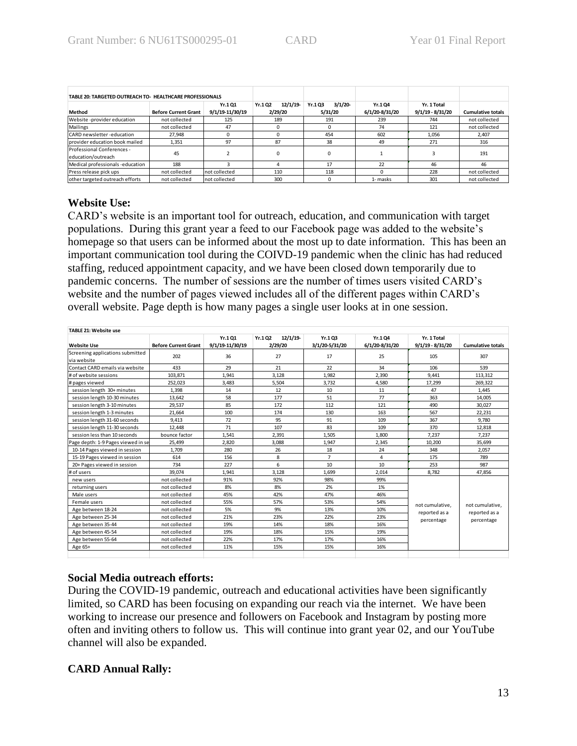| TABLE 20: TARGETED OUTREACH TO- HEALTHCARE PROFESSIONALS |                             |                 |                   |                  |                |                    |                          |
|----------------------------------------------------------|-----------------------------|-----------------|-------------------|------------------|----------------|--------------------|--------------------------|
|                                                          |                             | Yr.101          | 12/1/19<br>Yr.102 | 3/1/20<br>Yr.103 | Yr.104         | Yr. 1 Total        |                          |
| Method                                                   | <b>Before Current Grant</b> | 9/1/19-11/30/19 | 2/29/20           | 5/31/20          | 6/1/20-8/31/20 | $9/1/19 - 8/31/20$ | <b>Cumulative totals</b> |
| Website -provider education                              | not collected               | 125             | 189               | 191              | 239            | 744                | not collected            |
| Mailings                                                 | not collected               | 47              |                   | $\Omega$         | 74             | 121                | not collected            |
| CARD newsletter-education                                | 27.948                      |                 |                   | 454              | 602            | 1.056              | 2.407                    |
| provider education book mailed                           | 1,351                       | 97              | 87                | 38               | 49             | 271                | 316                      |
| Professional Conferences -                               | 45                          |                 |                   |                  |                |                    | 191                      |
| education/outreach                                       |                             |                 |                   | 0                |                |                    |                          |
| Medical professionals -education                         | 188                         |                 |                   | 17               | 22             | 46                 | 46                       |
| Press release pick ups                                   | not collected               | not collected   | 110               | 118              |                | 228                | not collected            |
| other targeted outreach efforts                          | not collected               | not collected   | 300               |                  | 1- masks       | 301                | not collected            |

### **Website Use:**

CARD's website is an important tool for outreach, education, and communication with target populations. During this grant year a feed to our Facebook page was added to the website's homepage so that users can be informed about the most up to date information. This has been an important communication tool during the COIVD-19 pandemic when the clinic has had reduced staffing, reduced appointment capacity, and we have been closed down temporarily due to pandemic concerns. The number of sessions are the number of times users visited CARD's website and the number of pages viewed includes all of the different pages within CARD's overall website. Page depth is how many pages a single user looks at in one session.

| TABLE 21: Website use              |                             |                           |                               |                          |                          |                                   |                          |
|------------------------------------|-----------------------------|---------------------------|-------------------------------|--------------------------|--------------------------|-----------------------------------|--------------------------|
| <b>Website Use</b>                 | <b>Before Current Grant</b> | Yr.101<br>9/1/19-11/30/19 | 12/1/19<br>Yr.1 Q2<br>2/29/20 | Yr.103<br>3/1/20-5/31/20 | Yr.104<br>6/1/20-8/31/20 | Yr. 1 Total<br>$9/1/19 - 8/31/20$ | <b>Cumulative totals</b> |
| Screening applications submitted   |                             |                           |                               |                          |                          |                                   |                          |
| via website                        | 202                         | 36                        | 27                            | 17                       | 25                       | 105                               | 307                      |
| Contact CARD emails via website    | 433                         | 29                        | 21                            | 22                       | 34                       | 106                               | 539                      |
| # of website sessions              | 103.871                     | 1,941                     | 3.128                         | 1,982                    | 2,390                    | 9.441                             | 113,312                  |
| # pages viewed                     | 252,023                     | 3,483                     | 5,504                         | 3,732                    | 4,580                    | 17,299                            | 269,322                  |
| session length 30+ minutes         | 1,398                       | 14                        | 12                            | 10                       | 11                       | 47                                | 1,445                    |
| session length 10-30 minutes       | 13,642                      | 58                        | 177                           | 51                       | 77                       | 363                               | 14,005                   |
| session length 3-10 minutes        | 29,537                      | 85                        | 172                           | 112                      | 121                      | 490                               | 30,027                   |
| session length 1-3 minutes         | 21,664                      | 100                       | 174                           | 130                      | 163                      | 567                               | 22,231                   |
| session length 31-60 seconds       | 9,413                       | 72                        | 95                            | 91                       | 109                      | 367                               | 9,780                    |
| session length 11-30 seconds       | 12.448                      | 71                        | 107                           | 83                       | 109                      | 370                               | 12,818                   |
| session less than 10 seconds       | bounce factor               | 1,541                     | 2.391                         | 1,505                    | 1,800                    | 7.237                             | 7,237                    |
| Page depth: 1-9 Pages viewed in se | 25,499                      | 2,820                     | 3.088                         | 1,947                    | 2,345                    | 10,200                            | 35,699                   |
| 10-14 Pages viewed in session      | 1,709                       | 280                       | 26                            | 18                       | 24                       | 348                               | 2,057                    |
| 15-19 Pages viewed in session      | 614                         | 156                       | 8                             | $\overline{7}$           | 4                        | 175                               | 789                      |
| 20+ Pages viewed in session        | 734                         | 227                       | 6                             | 10                       | 10                       | 253                               | 987                      |
| # of users                         | 39,074                      | 1,941                     | 3.128                         | 1,699                    | 2,014                    | 8,782                             | 47,856                   |
| new users                          | not collected               | 91%                       | 92%                           | 98%                      | 99%                      |                                   |                          |
| returning users                    | not collected               | 8%                        | 8%                            | 2%                       | 1%                       |                                   |                          |
| Male users                         | not collected               | 45%                       | 42%                           | 47%                      | 46%                      |                                   |                          |
| Female users                       | not collected               | 55%                       | 57%                           | 53%                      | 54%                      | not cumulative.                   | not cumulative.          |
| Age between 18-24                  | not collected               | 5%                        | 9%                            | 13%                      | 10%                      | reported as a                     | reported as a            |
| Age between 25-34                  | not collected               | 21%                       | 23%                           | 22%                      | 23%                      | percentage                        | percentage               |
| Age between 35-44                  | not collected               | 19%                       | 14%                           | 18%                      | 16%                      |                                   |                          |
| Age between 45-54                  | not collected               | 19%                       | 18%                           | 15%                      | 19%                      |                                   |                          |
| Age between 55-64                  | not collected               | 22%                       | 17%                           | 17%                      | 16%                      |                                   |                          |
| Age 65+                            | not collected               | 11%                       | 15%                           | 15%                      | 16%                      |                                   |                          |
|                                    |                             |                           |                               |                          |                          |                                   |                          |

### **Social Media outreach efforts:**

During the COVID-19 pandemic, outreach and educational activities have been significantly limited, so CARD has been focusing on expanding our reach via the internet. We have been working to increase our presence and followers on Facebook and Instagram by posting more often and inviting others to follow us. This will continue into grant year 02, and our YouTube channel will also be expanded.

### **CARD Annual Rally:**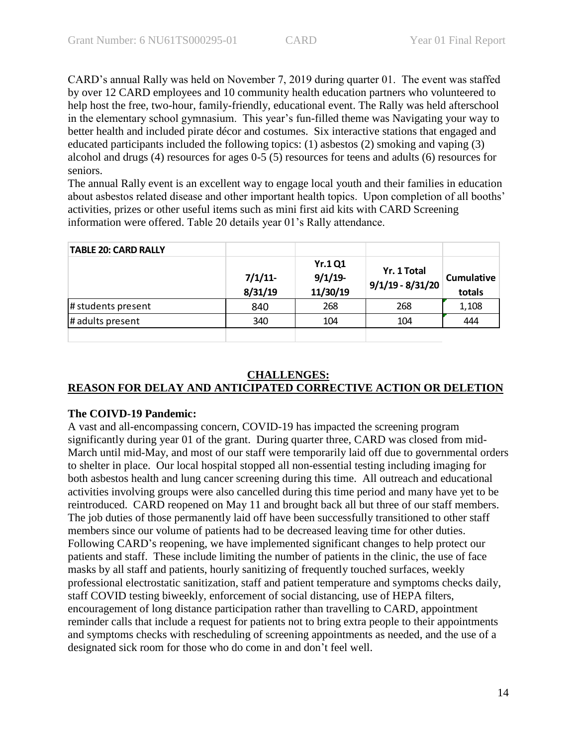CARD's annual Rally was held on November 7, 2019 during quarter 01. The event was staffed by over 12 CARD employees and 10 community health education partners who volunteered to help host the free, two-hour, family-friendly, educational event. The Rally was held afterschool in the elementary school gymnasium. This year's fun-filled theme was Navigating your way to better health and included pirate décor and costumes. Six interactive stations that engaged and educated participants included the following topics: (1) asbestos (2) smoking and vaping (3) alcohol and drugs (4) resources for ages 0-5 (5) resources for teens and adults (6) resources for seniors.

The annual Rally event is an excellent way to engage local youth and their families in education about asbestos related disease and other important health topics. Upon completion of all booths' activities, prizes or other useful items such as mini first aid kits with CARD Screening information were offered. Table 20 details year 01's Rally attendance.

| <b>TABLE 20: CARD RALLY</b> |                   |                                          |                                   |                             |
|-----------------------------|-------------------|------------------------------------------|-----------------------------------|-----------------------------|
|                             | 7/1/11<br>8/31/19 | <b>Yr.1 Q1</b><br>$9/1/19$ -<br>11/30/19 | Yr. 1 Total<br>$9/1/19 - 8/31/20$ | <b>Cumulative</b><br>totals |
| # students present          | 840               | 268                                      | 268                               | 1,108                       |
| # adults present            | 340               | 104                                      | 104                               | 444                         |
|                             |                   |                                          |                                   |                             |

### **CHALLENGES:**

### **REASON FOR DELAY AND ANTICIPATED CORRECTIVE ACTION OR DELETION**

### **The COIVD-19 Pandemic:**

A vast and all-encompassing concern, COVID-19 has impacted the screening program significantly during year 01 of the grant. During quarter three, CARD was closed from mid-March until mid-May, and most of our staff were temporarily laid off due to governmental orders to shelter in place. Our local hospital stopped all non-essential testing including imaging for both asbestos health and lung cancer screening during this time. All outreach and educational activities involving groups were also cancelled during this time period and many have yet to be reintroduced. CARD reopened on May 11 and brought back all but three of our staff members. The job duties of those permanently laid off have been successfully transitioned to other staff members since our volume of patients had to be decreased leaving time for other duties. Following CARD's reopening, we have implemented significant changes to help protect our patients and staff. These include limiting the number of patients in the clinic, the use of face masks by all staff and patients, hourly sanitizing of frequently touched surfaces, weekly professional electrostatic sanitization, staff and patient temperature and symptoms checks daily, staff COVID testing biweekly, enforcement of social distancing, use of HEPA filters, encouragement of long distance participation rather than travelling to CARD, appointment reminder calls that include a request for patients not to bring extra people to their appointments and symptoms checks with rescheduling of screening appointments as needed, and the use of a designated sick room for those who do come in and don't feel well.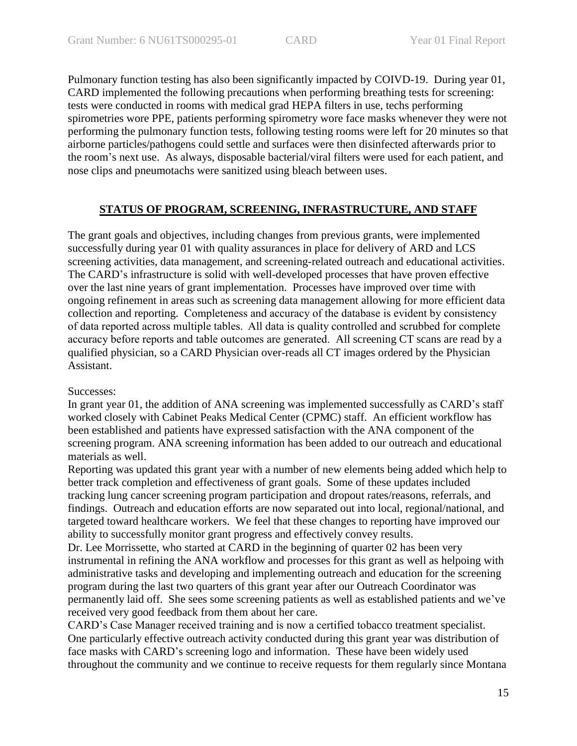Pulmonary function testing has also been significantly impacted by COIVD-19. During year 01, CARD implemented the following precautions when performing breathing tests for screening: tests were conducted in rooms with medical grad HEPA filters in use, techs performing spirometries wore PPE, patients performing spirometry wore face masks whenever they were not performing the pulmonary function tests, following testing rooms were left for 20 minutes so that airborne particles/pathogens could settle and surfaces were then disinfected afterwards prior to the room's next use. As always, disposable bacterial/viral filters were used for each patient, and nose clips and pneumotachs were sanitized using bleach between uses.

### **STATUS OF PROGRAM, SCREENING, INFRASTRUCTURE, AND STAFF**

The grant goals and objectives, including changes from previous grants, were implemented successfully during year 01 with quality assurances in place for delivery of ARD and LCS screening activities, data management, and screening-related outreach and educational activities. The CARD's infrastructure is solid with well-developed processes that have proven effective over the last nine years of grant implementation. Processes have improved over time with ongoing refinement in areas such as screening data management allowing for more efficient data collection and reporting. Completeness and accuracy of the database is evident by consistency of data reported across multiple tables. All data is quality controlled and scrubbed for complete accuracy before reports and table outcomes are generated. All screening CT scans are read by a qualified physician, so a CARD Physician over-reads all CT images ordered by the Physician Assistant.

### Successes:

In grant year 01, the addition of ANA screening was implemented successfully as CARD's staff worked closely with Cabinet Peaks Medical Center (CPMC) staff. An efficient workflow has been established and patients have expressed satisfaction with the ANA component of the screening program. ANA screening information has been added to our outreach and educational materials as well.

Reporting was updated this grant year with a number of new elements being added which help to better track completion and effectiveness of grant goals. Some of these updates included tracking lung cancer screening program participation and dropout rates/reasons, referrals, and findings. Outreach and education efforts are now separated out into local, regional/national, and targeted toward healthcare workers. We feel that these changes to reporting have improved our ability to successfully monitor grant progress and effectively convey results.

Dr. Lee Morrissette, who started at CARD in the beginning of quarter 02 has been very instrumental in refining the ANA workflow and processes for this grant as well as helpoing with administrative tasks and developing and implementing outreach and education for the screening program during the last two quarters of this grant year after our Outreach Coordinator was permanently laid off. She sees some screening patients as well as established patients and we've received very good feedback from them about her care.

CARD's Case Manager received training and is now a certified tobacco treatment specialist. One particularly effective outreach activity conducted during this grant year was distribution of face masks with CARD's screening logo and information. These have been widely used throughout the community and we continue to receive requests for them regularly since Montana